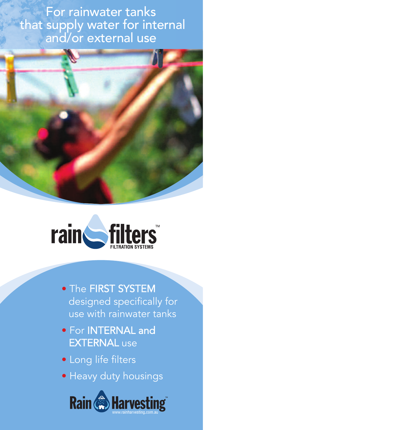For rainwater tanks that supply water for internal and/or external use





- The FIRST SYSTEM designed specifically for use with rainwater tanks
- For INTERNAL and EXTERNAL use
- Long life filters
- Heavy duty housings

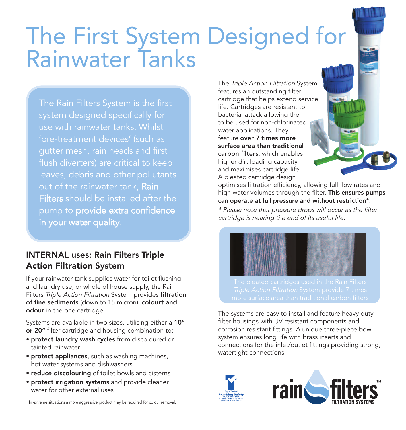# The First System Designed for Rainwater Tanks

The Rain Filters System is the first system designed specifically for use with rainwater tanks. Whilst gutter mesh, rain heads and first leaves, debris and other pollutants out of the rainwater tank, Rain Filters should be installed after the pump to provide extra confidence in your water quality.

#### INTERNAL uses: Rain Filters **Triple Action Filtration** System

If your rainwater tank supplies water for toilet flushing and laundry use, or whole of house supply, the Rain Filters Triple Action Filtration System provides filtration of fine sediments (down to 15 micron), colourt and odour in the one cartridge!

Systems are available in two sizes, utilising either a 10" or 20" filter cartridge and housing combination to:

- protect laundry wash cycles from discoloured or tainted rainwater
- protect appliances, such as washing machines, hot water systems and dishwashers
- reduce discolouring of toilet bowls and cisterns
- protect irrigation systems and provide cleaner water for other external uses

† In extreme situations a more aggressive product may be required for colour removal.

The Triple Action Filtration System features an outstanding filter cartridge that helps extend service life. Cartridges are resistant to bacterial attack allowing them to be used for non-chlorinated water applications. They feature over 7 times more surface area than traditional carbon filters, which enables higher dirt loading capacity and maximises cartridge life. A pleated cartridge design

optimises filtration efficiency, allowing full flow rates and high water volumes through the filter. This ensures pumps can operate at full pressure and without restriction\*.

\* Please note that pressure drops will occur as the filter cartridge is nearing the end of its useful life.



The systems are easy to install and feature heavy duty filter housings with UV resistant components and corrosion resistant fittings. A unique three-piece bowl system ensures long life with brass inserts and connections for the inlet/outlet fittings providing strong, watertight connections.

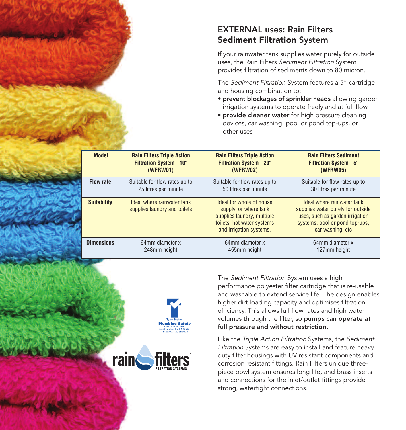#### EXTERNAL uses: Rain Filters **Sediment Filtration** System

If your rainwater tank supplies water purely for outside uses, the Rain Filters Sediment Filtration System provides filtration of sediments down to 80 micron.

The Sediment Filtration System features a 5" cartridge and housing combination to:

- prevent blockages of sprinkler heads allowing garden irrigation systems to operate freely and at full flow
- provide cleaner water for high pressure cleaning devices, car washing, pool or pond top-ups, or other uses

|  | <b>Model</b>       | <b>Rain Filters Triple Action</b><br><b>Filtration System - 10"</b><br>(WFRW01) | <b>Rain Filters Triple Action</b><br><b>Filtration System - 20"</b><br><b>(WFRW02)</b>                                                   | <b>Rain Filters Sediment</b><br><b>Filtration System - 5"</b><br><b>(WFRW05)</b>                                                                         |
|--|--------------------|---------------------------------------------------------------------------------|------------------------------------------------------------------------------------------------------------------------------------------|----------------------------------------------------------------------------------------------------------------------------------------------------------|
|  | <b>Flow rate</b>   | Suitable for flow rates up to<br>25 litres per minute                           | Suitable for flow rates up to<br>50 litres per minute                                                                                    | Suitable for flow rates up to<br>30 litres per minute                                                                                                    |
|  | <b>Suitability</b> | Ideal where rainwater tank<br>supplies laundry and toilets                      | Ideal for whole of house<br>supply, or where tank<br>supplies laundry, multiple<br>toilets, hot water systems<br>and irrigation systems. | Ideal where rainwater tank<br>supplies water purely for outside<br>uses, such as garden irrigation<br>systems, pool or pond top-ups,<br>car washing, etc |
|  | <b>Dimensions</b>  | 64mm diameter x<br>248mm height                                                 | 64mm diameter x<br>455mm height                                                                                                          | 64mm diameter x<br>127mm height                                                                                                                          |





The Sediment Filtration System uses a high performance polyester filter cartridge that is re-usable and washable to extend service life. The design enables higher dirt loading capacity and optimises filtration efficiency. This allows full flow rates and high water volumes through the filter, so pumps can operate at full pressure and without restriction.

Like the Triple Action Filtration Systems, the Sediment Filtration Systems are easy to install and feature heavy duty filter housings with UV resistant components and corrosion resistant fittings. Rain Filters unique threepiece bowl system ensures long life, and brass inserts and connections for the inlet/outlet fittings provide strong, watertight connections.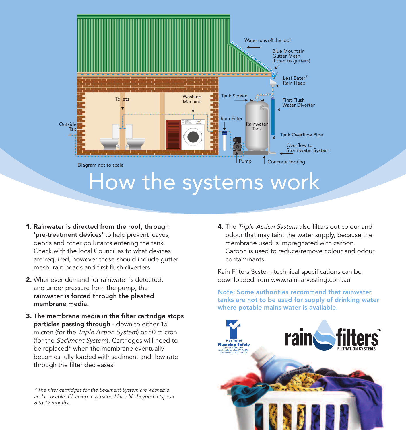

- **1.** Rainwater is directed from the roof, through 'pre-treatment devices' to help prevent leaves, debris and other pollutants entering the tank. Check with the local Council as to what devices are required, however these should include gutter mesh, rain heads and first flush diverters.
- 2. Whenever demand for rainwater is detected and under pressure from the pump, the rainwater is forced through the pleated membrane media.
- **3.** The membrane media in the filter cartridge stops particles passing through - down to either 15 micron (for the Triple Action System) or 80 micron (for the Sediment System). Cartridges will need to be replaced\* when the membrane eventually becomes fully loaded with sediment and flow rate through the filter decreases.

\* The filter cartridges for the Sediment System are washable and re-usable. Cleaning may extend filter life beyond a typical 6 to 12 months.

**4.** The Triple Action System also filters out colour and odour that may taint the water supply, because the membrane used is impregnated with carbon. Carbon is used to reduce/remove colour and odour contaminants.

Rain Filters System technical specifications can be downloaded from www.rainharvesting.com.au

Note: Some authorities recommend that rainwater tanks are not to be used for supply of drinking water where potable mains water is available.

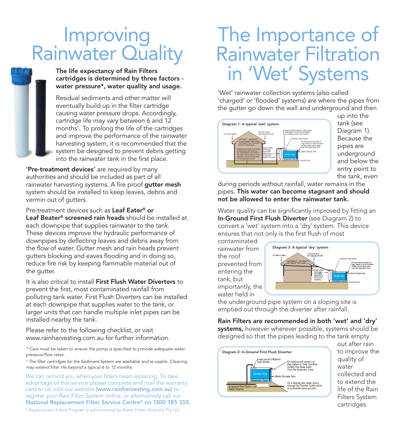## Improving<br>Rainwater Quality

#### The life expectancy of Rain Filters cartridges is determined by three factors water pressure\*, water quality and usage.

Residual sediments and other matter will eventually build up in the filter cartridge causing water pressure drops. Accordingly, cartridge life may vary between 6 and 12 months† . To prolong the life of the cartridges and improve the performance of the rainwater harvesting system, it is recommended that the system be designed to prevent debris getting into the rainwater tank in the first place.

'Pre-treatment devices' are required by many authorities and should be included as part of all rainwater harvesting systems. A fire proof gutter mesh system should be installed to keep leaves, debris and vermin out of gutters.

Pre-treatment devices such as Leaf Eater® or Leaf Beater® screened rain heads should be installed at each downpipe that supplies rainwater to the tank. These devices improve the hydraulic performance of downpipes by deflecting leaves and debris away from the flow of water. Gutter mesh and rain heads prevent gutters blocking and eaves flooding and in doing so, reduce fire risk by keeping flammable material out of the gutter.

It is also critical to install First Flush Water Diverters to prevent the first, most contaminated rainfall from polluting tank water. First Flush Diverters can be installed at each downpipe that supplies water to the tank, or larger units that can handle multiple inlet pipes can be installed nearby the tank.

Please refer to the following checklist, or visit www.rainharvesting.com.au for further information.

\* Care must be taken to ensure the pump is specified to provide adequate water pressure/flow rates.

† The filter cartridges for the Sediment System are washable and re-usable. Cleaning may extend filter life beyond a typical 6 to 12 months.

We can remind you when your filters need replacing. To take advantage of this service please complete and mail the warranty card to us, visit our website (www.rainharvesting.com.au) to register your Rain Filter System online, or alternatively call our National Replacement Filter Service Centre\* on 1300 785 355.

\* Replacement Filters Program is administered by Water Filters Australia Pty Ltd

### The Importance of Rainwater Filtration in 'Wet' Systems

'Wet' rainwater collection systems (also called 'charged' or 'flooded' systems) are where the pipes from the gutter go down the wall and underground and then



up into the tank (see Diagram 1). Because the pipes are underground and below the entry point to the tank, even

during periods without rainfall, water remains in the pipes. This water can become stagnant and should not be allowed to enter the rainwater tank.

Water quality can be significantly improved by fitting an In-Ground First Flush Diverter (see Diagram 2) to convert a 'wet' system into a 'dry' system. This device ensures that not only is the first flush of most

contaminated rainwater from the roof prevented from entering the tank, but importantly, the water held in



the underground pipe system on a sloping site is emptied out through the diverter after rainfall.

Rain Filters are recommended in both 'wet' and 'dry' systems, however wherever possible, systems should be designed so that the pipes leading to the tank empty



out after rain to improve the quality of water collected and to extend the life of the Rain Filters System cartridges.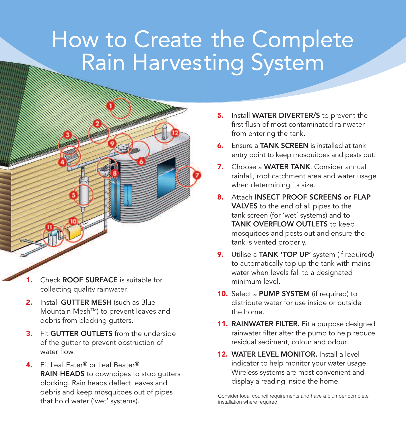## How to Create the Complete Rain Harvesting System

- **1.** Check ROOF SURFACE is suitable for collecting quality rainwater.
- **2.** Install GUTTER MESH (such as Blue Mountain Mesh<sup>™</sup>) to prevent leaves and debris from blocking gutters.
- **3.** Fit **GUTTER OUTLETS** from the underside of the gutter to prevent obstruction of water flow.
- **4.** Fit Leaf Eater® or Leaf Beater® RAIN HEADS to downpipes to stop gutters blocking. Rain heads deflect leaves and debris and keep mosquitoes out of pipes that hold water ('wet' systems).
- **5.** Install **WATER DIVERTER/S** to prevent the first flush of most contaminated rainwater from entering the tank.
- **6.** Ensure a TANK SCREEN is installed at tank entry point to keep mosquitoes and pests out.
- **7.** Choose a WATER TANK. Consider annual rainfall, roof catchment area and water usage when determining its size.
- **8.** Attach INSECT PROOF SCREENS or FLAP VALVES to the end of all pipes to the tank screen (for 'wet' systems) and to TANK OVERFLOW OUTLETS to keep mosquitoes and pests out and ensure the tank is vented properly.
- **9.** Utilise a TANK 'TOP UP' system (if required) to automatically top up the tank with mains water when levels fall to a designated minimum level.
- **10.** Select a PUMP SYSTEM (if required) to distribute water for use inside or outside the home.
- **11. RAINWATER FILTER.** Fit a purpose designed rainwater filter after the pump to help reduce residual sediment, colour and odour.
- **12. WATER LEVEL MONITOR.** Install a level indicator to help monitor your water usage. Wireless systems are most convenient and display a reading inside the home.

Consider local council requirements and have a plumber complete installation where required.